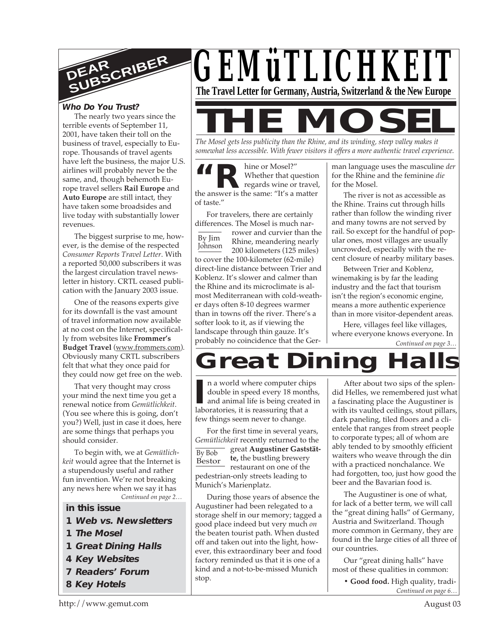

# **Who Do You Trust?**

The nearly two years since the terrible events of September 11, 2001, have taken their toll on the business of travel, especially to Europe. Thousands of travel agents have left the business, the major U.S. airlines will probably never be the same, and, though behemoth Europe travel sellers **Rail Europe** and **Auto Europe** are still intact, they have taken some broadsides and live today with substantially lower revenues.

The biggest surprise to me, however, is the demise of the respected *Consumer Reports Travel Letter*. With a reported 50,000 subscribers it was the largest circulation travel newsletter in history. CRTL ceased publication with the January 2003 issue.

One of the reasons experts give for its downfall is the vast amount of travel information now available at no cost on the Internet, specifically from websites like **Frommer's Budget Travel** (www.frommers.com). Obviously many CRTL subscribers felt that what they once paid for they could now get free on the web.

That very thought may cross your mind the next time you get a renewal notice from *Gemütlichkeit*. (You see where this is going, don't you?) Well, just in case it does, here are some things that perhaps you should consider.

*Continued on page 2…* To begin with, we at *Gemütlichkeit* would agree that the Internet is a stupendously useful and rather fun invention. We're not breaking any news here when we say it has

**in this issue**

- **1 Web vs. Newsletters**
- **1 The Mosel**
- **1 Great Dining Halls**
- **4 Key Websites**
- **7 Readers' Forum**
- **8 Key Hotels**



**MOSE** *The Mosel gets less publicity than the Rhine, and its winding, steep valley makes it*

*somewhat less accessible. With fewer visitors it offers a more authentic travel experience.*

**THE SET OF SHEAD SET OF SHEAD STATES Whether that question regards wine or travel the answer is the same: "It's a matter** hine or Mosel?" Whether that question regards wine or travel, of taste."

For travelers, there are certainly differences. The Mosel is much nar-

By Jim Johnson rower and curvier than the Rhine, meandering nearly 200 kilometers (125 miles) to cover the 100-kilometer (62-mile) direct-line distance between Trier and Koblenz. It's slower and calmer than the Rhine and its microclimate is almost Mediterranean with cold-weather days often 8-10 degrees warmer than in towns off the river. There's a softer look to it, as if viewing the landscape through thin gauze. It's probably no coincidence that the Ger-

man language uses the masculine *der* for the Rhine and the feminine *die* for the Mosel.

The river is not as accessible as the Rhine. Trains cut through hills rather than follow the winding river and many towns are not served by rail. So except for the handful of popular ones, most villages are usually uncrowded, especially with the recent closure of nearby military bases.

Between Trier and Koblenz, winemaking is by far the leading industry and the fact that tourism isn't the region's economic engine, means a more authentic experience than in more visitor-dependent areas.

*Continued on page 3…* Here, villages feel like villages, where everyone knows everyone. In

# **Great Dining**

In a world where computer childouble in speed every 18 mon<br>
and animal life is being created<br>
laboratories, it is reassuring that a n a world where computer chips double in speed every 18 months, and animal life is being created in few things seem never to change.

By Bob Bestor For the first time in several years, *Gemütlichkeit* recently returned to the great **Augustiner Gaststätte,** the bustling brewery restaurant on one of the pedestrian-only streets leading to Munich's Marienplatz.

During those years of absence the Augustiner had been relegated to a storage shelf in our memory; tagged a good place indeed but very much *on* the beaten tourist path. When dusted off and taken out into the light, however, this extraordinary beer and food factory reminded us that it is one of a kind and a not-to-be-missed Munich stop.

After about two sips of the splendid Helles, we remembered just what a fascinating place the Augustiner is with its vaulted ceilings, stout pillars, dark paneling, tiled floors and a clientele that ranges from street people to corporate types; all of whom are ably tended to by smoothly efficient waiters who weave through the din with a practiced nonchalance. We had forgotten, too, just how good the beer and the Bavarian food is.

The Augustiner is one of what, for lack of a better term, we will call the "great dining halls" of Germany, Austria and Switzerland. Though more common in Germany, they are found in the large cities of all three of our countries.

Our "great dining halls" have most of these qualities in common:

> *Continued on page 6…* **• Good food.** High quality, tradi-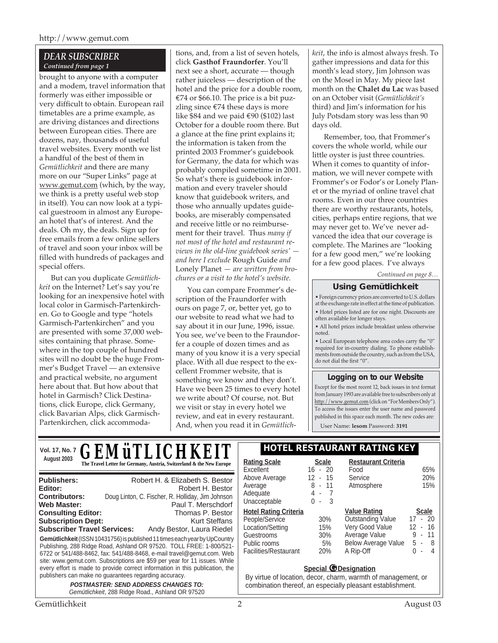## *DEAR SUBSCRIBER Continued from page 1*

brought to anyone with a computer and a modem, travel information that formerly was either impossible or very difficult to obtain. European rail timetables are a prime example, as are driving distances and directions between European cities. There are dozens, nay, thousands of useful travel websites. Every month we list a handful of the best of them in *Gemütlichkeit* and there are many more on our "Super Links" page at www.gemut.com (which, by the way, we think is a pretty useful web stop in itself). You can now look at a typical guestroom in almost any European hotel that's of interest. And the deals. Oh my, the deals. Sign up for free emails from a few online sellers of travel and soon your inbox will be filled with hundreds of packages and special offers.

But can you duplicate *Gemütlichkeit* on the Internet? Let's say you're looking for an inexpensive hotel with local color in Garmisch-Partenkirchen. Go to Google and type "hotels Garmisch-Partenkirchen" and you are presented with some 37,000 websites containing that phrase. Somewhere in the top couple of hundred sites will no doubt be the huge Frommer's Budget Travel — an extensive and practical website, no argument here about that. But how about that hotel in Garmisch? Click Destinations, click Europe, click Germany, click Bavarian Alps, click Garmisch-Partenkirchen, click accommoda-

tions, and, from a list of seven hotels, click **Gasthof Fraundorfer**. You'll next see a short, accurate — though rather juiceless — description of the hotel and the price for a double room, €74 or \$66.10. The price is a bit puzzling since  $\epsilon$ 74 these days is more like \$84 and we paid €90 (\$102) last October for a double room there. But a glance at the fine print explains it; the information is taken from the printed 2003 Frommer's guidebook for Germany, the data for which was probably compiled sometime in 2001. So what's there is guidebook information and every traveler should know that guidebook writers, and those who annually updates guidebooks, are miserably compensated and receive little or no reimbursement for their travel. Thus *many if not most of the hotel and restaurant reviews in the old-line guidebook series' and here I exclude* Rough Guide *and* Lonely Planet *— are written from brochures or a visit to the hotel's website.*

You can compare Frommer's description of the Fraundorfer with ours on page 7, or, better yet, go to our website to read what we had to say about it in our June, 1996, issue. You see, we've been to the Fraundorfer a couple of dozen times and as many of you know it is a very special place. With all due respect to the excellent Frommer website, that is something we know and they don't. Have we been 25 times to every hotel we write about? Of course, not. But we visit or stay in every hotel we review, and eat in every restaurant. And, when you read it in *Gemütlich-* *keit*, the info is almost always fresh. To gather impressions and data for this month's lead story, Jim Johnson was on the Mosel in May. My piece last month on the **Chalet du Lac** was based on an October visit (*Gemütlichkeit's* third) and Jim's information for his July Potsdam story was less than 90 days old.

Remember, too, that Frommer's covers the whole world, while our little oyster is just three countries. When it comes to quantity of information, we will never compete with Frommer's or Fodor's or Lonely Planet or the myriad of online travel chat rooms. Even in our three countries there are worthy restaurants, hotels, cities, perhaps entire regions, that we may never get to. We've never advanced the idea that our coverage is complete. The Marines are "looking for a few good men," we're looking for a few good places. I've always

*Continued on page 8…*

# **Using Gemütlichkeit**

• Foreign currency prices are converted to U.S. dollars at the exchange rate in effect at the time of publication. • Hotel prices listed are for one night. Discounts are often available for longer stays.

• All hotel prices include breakfast unless otherwise noted.

• Local European telephone area codes carry the "0" required for in-country dialing. To phone establish-ments from outside the country, such as from the USA, do not dial the first "0".

#### **Logging on to our Website**

Except for the most recent 12, back issues in text format from January 1993 are available free to subscribers only at http://www.gemut.com (click on "For Members Only"). To access the issues enter the user name and password published in this space each month. The new codes are:

User Name: **lesom** Password: **3191**

| <b>GEMÜTLICHKEIT</b><br><b>Vol. 17, No. 7</b><br>August 2003                                                                                                                                                                                                                                                                                                                                                                                                                                                          | <b>HOTEL RESTAURANT RATING KEY</b><br><b>Restaurant Criteria</b><br><b>Rating Scale</b><br><b>Scale</b>                                                                                                                                                                                                                                                                                                                          |  |  |  |
|-----------------------------------------------------------------------------------------------------------------------------------------------------------------------------------------------------------------------------------------------------------------------------------------------------------------------------------------------------------------------------------------------------------------------------------------------------------------------------------------------------------------------|----------------------------------------------------------------------------------------------------------------------------------------------------------------------------------------------------------------------------------------------------------------------------------------------------------------------------------------------------------------------------------------------------------------------------------|--|--|--|
| The Travel Letter for Germany, Austria, Switzerland & the New Europe                                                                                                                                                                                                                                                                                                                                                                                                                                                  | $16 - 20$<br>65%<br>Excellent<br>Food                                                                                                                                                                                                                                                                                                                                                                                            |  |  |  |
| Robert H. & Elizabeth S. Bestor<br><b>Publishers:</b><br>Robert H. Bestor<br>Editor:<br>Doug Linton, C. Fischer, R. Holliday, Jim Johnson<br><b>Contributors:</b>                                                                                                                                                                                                                                                                                                                                                     | 20%<br>12 - 15<br>Above Average<br>Service<br>8<br>15%<br>11<br>Atmosphere<br>Average<br>$\sim$<br>Adequate<br>4 -<br>- 7<br>Unacceptable<br>0<br>- 3<br>$\blacksquare$                                                                                                                                                                                                                                                          |  |  |  |
| <b>Web Master:</b><br>Paul T. Merschdorf<br><b>Consulting Editor:</b><br>Thomas P. Bestor<br><b>Subscription Dept:</b><br>Kurt Steffans<br><b>Subscriber Travel Services:</b><br>Andy Bestor, Laura Riedel<br>Gemütlichkeit (ISSN 10431756) is published 11 times each year by UpCountry<br>Publishing, 288 Ridge Road, Ashland OR 97520. TOLL FREE: 1-800/521-<br>6722 or 541/488-8462, fax: 541/488-8468, e-mail travel@gemut.com. Web<br>site: www.gemut.com. Subscriptions are \$59 per year for 11 issues. While | <b>Value Rating</b><br><b>Hotel Rating Criteria</b><br><b>Scale</b><br><b>Outstanding Value</b><br>$17 - 20$<br>People/Service<br>30%<br>Very Good Value<br>16<br>12<br>Location/Setting<br>15%<br>$\sim$<br>Average Value<br>9<br>11<br>Guestrooms<br>30%<br>$\sim$<br><b>Below Average Value</b><br>5 -<br>- 8<br>Public rooms<br>5%<br>Facilities/Restaurant<br>A Rip-Off<br><b>20%</b><br>0<br>4<br>$\overline{\phantom{a}}$ |  |  |  |
| every effort is made to provide correct information in this publication, the<br>publishers can make no guarantees regarding accuracy.<br><b>POSTMASTER: SEND ADDRESS CHANGES TO:</b><br>Gemütlichkeit, 288 Ridge Road., Ashland OR 97520                                                                                                                                                                                                                                                                              | <b>Special @Designation</b><br>By virtue of location, decor, charm, warmth of management, or<br>combination thereof, an especially pleasant establishment.                                                                                                                                                                                                                                                                       |  |  |  |
| Gemütlichkeit                                                                                                                                                                                                                                                                                                                                                                                                                                                                                                         | August 03                                                                                                                                                                                                                                                                                                                                                                                                                        |  |  |  |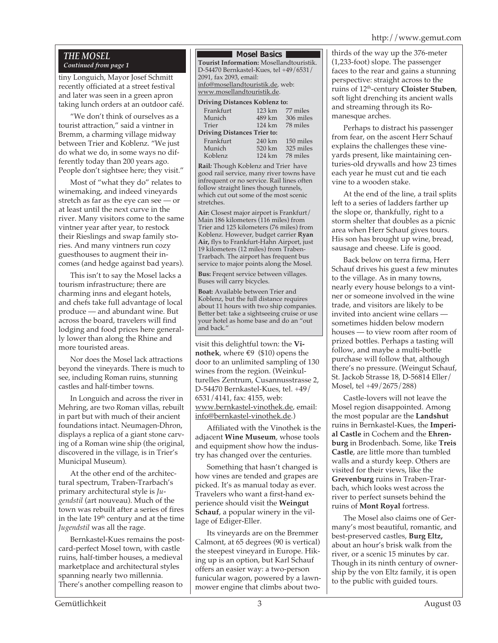# http://www.gemut.com

#### *THE MOSEL Continued from page 1*

tiny Longuich, Mayor Josef Schmitt recently officiated at a street festival and later was seen in a green apron taking lunch orders at an outdoor café.

"We don't think of ourselves as a tourist attraction," said a vintner in Bremm, a charming village midway between Trier and Koblenz. "We just do what we do, in some ways no differently today than 200 years ago. People don't sightsee here; they visit."

Most of "what they do" relates to winemaking, and indeed vineyards stretch as far as the eye can see — or at least until the next curve in the river. Many visitors come to the same vintner year after year, to restock their Rieslings and swap family stories. And many vintners run cozy guesthouses to augment their incomes (and hedge against bad years).

This isn't to say the Mosel lacks a tourism infrastructure; there are charming inns and elegant hotels, and chefs take full advantage of local produce — and abundant wine. But across the board, travelers will find lodging and food prices here generally lower than along the Rhine and more touristed areas.

Nor does the Mosel lack attractions beyond the vineyards. There is much to see, including Roman ruins, stunning castles and half-timber towns.

In Longuich and across the river in Mehring, are two Roman villas, rebuilt in part but with much of their ancient foundations intact. Neumagen-Dhron, displays a replica of a giant stone carving of a Roman wine ship (the original, discovered in the village, is in Trier's Municipal Museum).

At the other end of the architectural spectrum, Traben-Trarbach's primary architectural style is *Jugendstil* (art nouveau). Much of the town was rebuilt after a series of fires in the late 19<sup>th</sup> century and at the time *Jugendstil* was all the rage.

Bernkastel-Kues remains the postcard-perfect Mosel town, with castle ruins, half-timber houses, a medieval marketplace and architectural styles spanning nearly two millennia. There's another compelling reason to

#### **Mosel Basics I**

**Tourist Information:** Mosellandtouristik. D-54470 Bernkastel-Kues, tel +49/6531/ 2091, fax 2093, email: info@mosellandtouristik.de, web: www.mosellandtouristik.de.

#### **Driving Distances Koblenz to:**

| Frankfurt                          | 123 km | 77 miles  |  |  |
|------------------------------------|--------|-----------|--|--|
| Munich                             | 489 km | 306 miles |  |  |
| Trier                              | 124 km | 78 miles  |  |  |
| <b>Driving Distances Trier to:</b> |        |           |  |  |
|                                    |        |           |  |  |
| Frankfurt                          | 240 km | 150 miles |  |  |
| Munich                             | 520 km | 325 miles |  |  |
| Koblenz                            | 124 km | 78 miles  |  |  |

**Rail***:* Though Koblenz and Trier have good rail service, many river towns have infrequent or no service. Rail lines often follow straight lines though tunnels, which cut out some of the most scenic stretches.

**Air:** Closest major airport is Frankfurt/ Main 186 kilometers (116 miles) from Trier and 125 kilometers (76 miles) from Koblenz. However, budget carrier **Ryan Air,** flys to Frankfurt-Hahn Airport, just 19 kilometers (12 miles) from Traben-Trarbach. The airport has frequent bus service to major points along the Mosel.

**Bus:** Freqent service between villages. Buses will carry bicycles.

**Boat:** Available between Trier and Koblenz, but the full distance requires about 11 hours with two ship companies. Better bet: take a sightseeing cruise or use your hotel as home base and do an "out and back."

visit this delightful town: the **Vinothek**, where  $€9$  (\$10) opens the door to an unlimited sampling of 130 wines from the region. (Weinkulturelles Zentrum, Cusannusstrasse 2, D-54470 Bernkastel-Kues, tel. +49/ 6531/4141, fax: 4155, web: www.bernkastel-vinothek.de, email: info@bernkastel-vinothek.de.)

Affiliated with the Vinothek is the adjacent **Wine Museum**, whose tools and equipment show how the industry has changed over the centuries.

Something that hasn't changed is how vines are tended and grapes are picked. It's as manual today as ever. Travelers who want a first-hand experience should visit the **Weingut Schauf**, a popular winery in the village of Ediger-Eller.

Its vineyards are on the Bremmer Calmont, at 65 degrees (90 is vertical) the steepest vineyard in Europe. Hiking up is an option, but Karl Schauf offers an easier way: a two-person funicular wagon, powered by a lawnmower engine that climbs about twothirds of the way up the 376-meter (1,233-foot) slope. The passenger faces to the rear and gains a stunning perspective: straight across to the ruins of 12th-century **Cloister Stuben**, soft light drenching its ancient walls and streaming through its Romanesque arches.

Perhaps to distract his passenger from fear, on the ascent Herr Schauf explains the challenges these vineyards present, like maintaining centuries-old drywalls and how 23 times each year he must cut and tie each vine to a wooden stake.

At the end of the line, a trail splits left to a series of ladders farther up the slope or, thankfully, right to a storm shelter that doubles as a picnic area when Herr Schauf gives tours. His son has brought up wine, bread, sausage and cheese. Life is good.

Back below on terra firma, Herr Schauf drives his guest a few minutes to the village. As in many towns, nearly every house belongs to a vintner or someone involved in the wine trade, and visitors are likely to be invited into ancient wine cellars sometimes hidden below modern houses — to view room after room of prized bottles. Perhaps a tasting will follow, and maybe a multi-bottle purchase will follow that, although there's no pressure. (Weingut Schauf, St. Jackob Strasse 18, D-56814 Eller/ Mosel, tel +49/2675/288)

Castle-lovers will not leave the Mosel region disappointed. Among the most popular are the **Landshut** ruins in Bernkastel-Kues, the **Imperial Castle** in Cochem and the **Ehrenburg** in Brodenbach. Some, like **Treis Castle**, are little more than tumbled walls and a sturdy keep. Others are visited for their views, like the **Grevenburg** ruins in Traben-Trarbach, which looks west across the river to perfect sunsets behind the ruins of **Mont Royal** fortress.

The Mosel also claims one of Germany's most beautiful, romantic, and best-preserved castles, **Burg Eltz,** about an hour's brisk walk from the river, or a scenic 15 minutes by car. Though in its ninth century of ownership by the von Eltz family, it is open to the public with guided tours.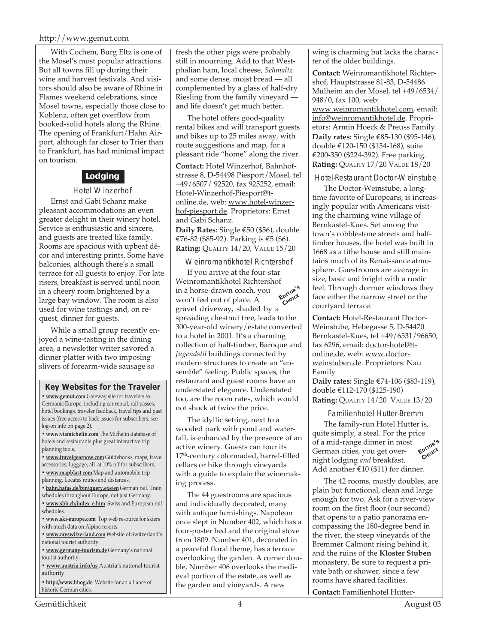#### http://www.gemut.com

With Cochem, Burg Eltz is one of the Mosel's most popular attractions. But all towns fill up during their wine and harvest festivals. And visitors should also be aware of Rhine in Flames weekend celebrations, since Mosel towns, especially those close to Koblenz, often get overflow from booked-solid hotels along the Rhine. The opening of Frankfurt/Hahn Airport, although far closer to Trier than to Frankfurt, has had minimal impact on tourism.

# **Lodging**

Hotel Winzerhof

Ernst and Gabi Schanz make pleasant accommodations an even greater delight in their winery hotel. Service is enthusiastic and sincere, and guests are treated like family. Rooms are spacious with upbeat décor and interesting prints. Some have balconies, although there's a small terrace for all guests to enjoy. For late risers, breakfast is served until noon in a cheery room brightened by a large bay window. The room is also used for wine tastings and, on request, dinner for guests.

While a small group recently enjoyed a wine-tasting in the dining area, a newsletter writer savored a dinner platter with two imposing slivers of forearm-wide sausage so

#### **Key Websites for the Traveler**

**• www.gemut.com** Gateway site for travelers to Germanic Europe, including car rental, rail passes, hotel bookings, traveler feedback, travel tips and past issues (free access to back issues for subscribers; see log-on info on page 2).

**• www.viamichelin.com** The Michelin database of hotels and restaurants plus great interactive trip planning tools.

**• www.travelgearnow.com** Guidebooks, maps, travel accessories, luggage, all at 10% off for subscribers.

- **www.mapblast.com** Map and automobile trip planning. Locates routes and distances.
- **bahn.hafas.de/bin/query.exe/en** German rail. Train
- schedules throughout Europe, not just Germany.
- **www.sbb.ch/index\_e.htm** Swiss and European rail schedules.
- **www.ski-europe.com** Top web resource for skiers with much data on Alpine resorts.
- **www.myswitzerland.com** Website of Switzerland's national tourist authority.

**• www.germany-tourism.de** Germany's national tourist authority.

**• www.austria.info/us** Austria's national tourist authority.

**• http://www.hhog.de** Website for an alliance of historic German cities.

fresh the other pigs were probably still in mourning. Add to that Westphalian ham, local cheese, *Schmaltz* and some dense, moist bread — all complemented by a glass of half-dry Riesling from the family vineyard and life doesn't get much better.

The hotel offers good-quality rental bikes and will transport guests and bikes up to 25 miles away, with route suggestions and map, for a pleasant ride "home" along the river.

**Contact:** Hotel Winzerhof, Bahnhofstrasse 8, D-54498 Piesport/Mosel, tel +49/6507/ 92520, fax 925252, email: Hotel-Winzerhof-Piesport@tonline.de, web: www.hotel-winzerhof-piesport.de. Proprietors: Ernst and Gabi Schanz.

**Daily Rates:** Single €50 (\$56), double €76-82 (\$85-92). Parking is €5 (\$6). **Rating:** QUALITY 14/20, VALUE 15/20

#### Weinromantikhotel Richtershof

If you arrive at the four-star Weinromantikhotel Richtershof in a horse-drawn coach, you won't feel out of place. A gravel driveway, shaded by a spreading chestnut tree, leads to the 300-year-old winery/estate converted to a hotel in 2001. It's a charming collection of half-timber, Baroque and *Jugendstil* buildings connected by modern structures to create an "ensemble" feeling. Public spaces, the restaurant and guest rooms have an understated elegance. Understated too, are the room rates, which would not shock at twice the price. **EDITOR'<sup>S</sup>** C<sub>HOICE</sub>

The idyllic setting, next to a wooded park with pond and waterfall, is enhanced by the presence of an active winery. Guests can tour its 17<sup>th</sup>-century colonnaded, barrel-filled cellars or hike through vineyards with a guide to explain the winemaking process.

The 44 guestrooms are spacious and individually decorated, many with antique furnishings. Napoleon once slept in Number 402, which has a four-poster bed and the original stove from 1809. Number 401, decorated in a peaceful floral theme, has a terrace overlooking the garden. A corner double, Number 406 overlooks the medieval portion of the estate, as well as the garden and vineyards. A new

wing is charming but lacks the character of the older buildings.

**Contact:** Weinromantikhotel Richtershof, Hauptstrasse 81-83, D-54486 Mülheim an der Mosel, tel +49/6534/ 948/0, fax 100, web: www.weinromantikhotel.com, email: info@weinromantikhotel.de. Proprietors: Armin Hoeck & Preuss Family. **Daily rates:** Single €85-130 (\$95-146), double €120-150 (\$134-168), suite €200-350 (\$224-392). Free parking. **Rating:** QUALITY 17/20 VALUE 18/20

Hotel-Restaurant Doctor-Weinstube

The Doctor-Weinstube, a longtime favorite of Europeans, is increasingly popular with Americans visiting the charming wine village of Bernkastel-Kues. Set among the town's cobblestone streets and halftimber houses, the hotel was built in 1668 as a tithe house and still maintains much of its Renaissance atmosphere. Guestrooms are average in size, basic and bright with a rustic feel. Through dormer windows they face either the narrow street or the courtyard terrace.

**Contact:** Hotel-Restaurant Doctor-Weinstube, Hebegasse 5, D-54470 Bernkastel-Kues, tel +49/6531/96650, fax 6296, email: doctor-hotel@tonline.de, web: www.doctorweinstuben.de. Proprietors: Nau Family

**Daily rates:** Single €74-106 (\$83-119), double €112-170 (\$125-190) **Rating:** QUALITY 14/20 VALUE 13/20

Familienhotel Hutter-Bremm

**EDITOR'<sup>S</sup>** CHOICE The family-run Hotel Hutter is, quite simply, a steal. For the price of a mid-range dinner in most German cities, you get overnight lodging *and* breakfast. Add another €10 (\$11) for dinner.

The 42 rooms, mostly doubles, are plain but functional, clean and large enough for two. Ask for a river-view room on the first floor (our second) that opens to a patio panorama encompassing the 180-degree bend in the river, the steep vineyards of the Bremmer Calmont rising behind it, and the ruins of the **Kloster Stuben** monastery. Be sure to request a private bath or shower, since a few rooms have shared facilities.

**Contact:** Familienhotel Hutter-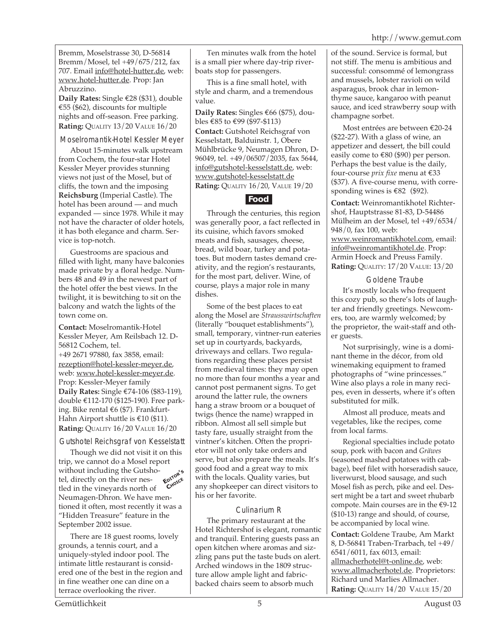Bremm, Moselstrasse 30, D-56814 Bremm/Mosel, tel +49/675/212, fax 707. Email info@hotel-hutter.de, web: www.hotel-hutter.de. Prop: Jan Abruzzino.

**Daily Rates:** Single €28 (\$31), double €55 (\$62), discounts for multiple nights and off-season. Free parking. **Rating:** QUALITY 13/20 VALUE 16/20

Moselromantik-Hotel Kessler Meyer

About 15-minutes walk upstream from Cochem, the four-star Hotel Kessler Meyer provides stunning views not just of the Mosel, but of cliffs, the town and the imposing **Reichsburg** (Imperial Castle). The hotel has been around — and much expanded — since 1978. While it may not have the character of older hotels, it has both elegance and charm. Service is top-notch.

Guestrooms are spacious and filled with light, many have balconies made private by a floral hedge. Numbers 48 and 49 in the newest part of the hotel offer the best views. In the twilight, it is bewitching to sit on the balcony and watch the lights of the town come on.

**Contact:** Moselromantik-Hotel Kessler Meyer, Am Reilsbach 12. D-56812 Cochem, tel.

+49 2671 97880, fax 3858, email: rezeption@hotel-kessler-meyer.de, web: www.hotel-kessler-meyer.de. Prop: Kessler-Meyer family **Daily Rates:** Single €74-106 (\$83-119), double €112-170 (\$125-190). Free parking. Bike rental €6 (\$7). Frankfurt-Hahn Airport shuttle is €10 (\$11). **Rating:** QUALITY 16/20 VALUE 16/20

Gutshotel Reichsgraf von Kesselstatt

Though we did not visit it on this trip, we cannot do a Mosel report without including the Gutshotel, directly on the river nestled in the vineyards north of Neumagen-Dhron. We have mentioned it often, most recently it was a "Hidden Treasure" feature in the September 2002 issue. **EDITOR'<sup>S</sup> CHOICE**

There are 18 guest rooms, lovely grounds, a tennis court, and a uniquely-styled indoor pool. The intimate little restaurant is considered one of the best in the region and in fine weather one can dine on a terrace overlooking the river.

Ten minutes walk from the hotel is a small pier where day-trip riverboats stop for passengers.

This is a fine small hotel, with style and charm, and a tremendous value.

**Daily Rates:** Singles €66 (\$75), doubles €85 to €99 (\$97-\$113) **Contact:** Gutshotel Reichsgraf von Kesselstatt, Balduinstr. 1, Obere Mühlbrücke 9, Neumagen Dhron, D-96049, tel. +49/06507/2035, fax 5644, info@gutshotel-kesselstatt.de, web: www.gutshotel-kesselstatt.de **Rating:** QUALITY 16/20, VALUE 19/20

# **Food**

Through the centuries, this region was generally poor, a fact reflected in its cuisine, which favors smoked meats and fish, sausages, cheese, bread, wild boar, turkey and potatoes. But modern tastes demand creativity, and the region's restaurants, for the most part, deliver. Wine, of course, plays a major role in many dishes.

Some of the best places to eat along the Mosel are *Strausswirtschaften* (literally "bouquet establishments"), small, temporary, vintner-run eateries set up in courtyards, backyards, driveways and cellars. Two regulations regarding these places persist from medieval times: they may open no more than four months a year and cannot post permanent signs. To get around the latter rule, the owners hang a straw broom or a bouquet of twigs (hence the name) wrapped in ribbon. Almost all sell simple but tasty fare, usually straight from the vintner's kitchen. Often the proprietor will not only take orders and serve, but also prepare the meals. It's good food and a great way to mix with the locals. Quality varies, but any shopkeeper can direct visitors to his or her favorite.

# Culinarium R

The primary restaurant at the Hotel Richtershof is elegant, romantic and tranquil. Entering guests pass an open kitchen where aromas and sizzling pans put the taste buds on alert. Arched windows in the 1809 structure allow ample light and fabricbacked chairs seem to absorb much

of the sound. Service is formal, but not stiff. The menu is ambitious and successful: consommé of lemongrass and mussels, lobster ravioli on wild asparagus, brook char in lemonthyme sauce, kangaroo with peanut sauce, and iced strawberry soup with champagne sorbet.

Most entrées are between €20-24 (\$22-27). With a glass of wine, an appetizer and dessert, the bill could easily come to €80 (\$90) per person. Perhaps the best value is the daily, four-course *prix fixe* menu at €33 (\$37). A five-course menu, with corresponding wines is €82 (\$92).

**Contact:** Weinromantikhotel Richtershof, Hauptstrasse 81-83, D-54486 Mülheim an der Mosel, tel +49/6534/ 948/0, fax 100, web:

www.weinromantikhotel.com, email: info@weinromantikhotel.de. Prop: Armin Hoeck and Preuss Family. **Rating:** QUALITY: 17/20 VALUE: 13/20

## Goldene Traube

It's mostly locals who frequent this cozy pub, so there's lots of laughter and friendly greetings. Newcomers, too, are warmly welcomed; by the proprietor, the wait-staff and other guests.

Not surprisingly, wine is a dominant theme in the décor, from old winemaking equipment to framed photographs of "wine princesses." Wine also plays a role in many recipes, even in desserts, where it's often substituted for milk.

Almost all produce, meats and vegetables, like the recipes, come from local farms.

Regional specialties include potato soup, pork with bacon and *Gräwes* (seasoned mashed potatoes with cabbage), beef filet with horseradish sauce, liverwurst, blood sausage, and such Mosel fish as perch, pike and eel. Dessert might be a tart and sweet rhubarb compote. Main courses are in the €9-12 (\$10-13) range and should, of course, be accompanied by local wine.

**Contact:** Goldene Traube, Am Markt 8, D-56841 Traben-Trarbach, tel +49/ 6541/6011, fax 6013, email: allmacherhotel@t-online.de, web: www.allmacherhotel.de. Proprietors: Richard und Marlies Allmacher. **Rating: QUALITY 14/20 VALUE 15/20**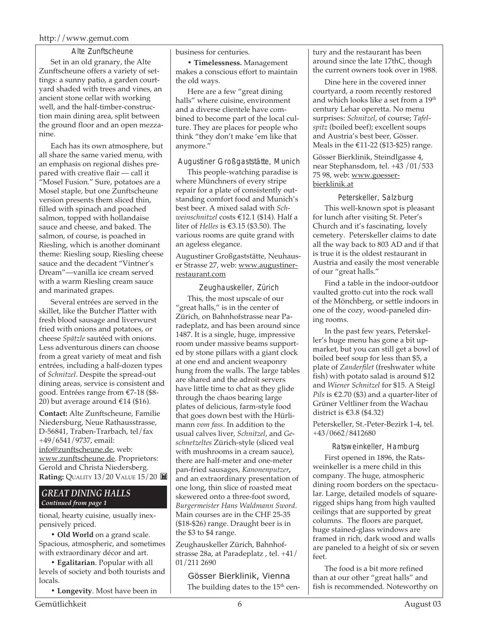#### http://www.gemut.com

Alte Zunftscheune Set in an old granary, the Alte Zunftscheune offers a variety of settings: a sunny patio, a garden courtyard shaded with trees and vines, an ancient stone cellar with working well, and the half-timber-construction main dining area, split between the ground floor and an open mezzanine.

Each has its own atmosphere, but all share the same varied menu, with an emphasis on regional dishes prepared with creative flair — call it "Mosel Fusion." Sure, potatoes are a Mosel staple, but one Zunftscheune version presents them sliced thin, filled with spinach and poached salmon, topped with hollandaise sauce and cheese, and baked. The salmon, of course, is poached in Riesling, which is another dominant theme: Riesling soup, Riesling cheese sauce and the decadent "Vintner's Dream"—vanilla ice cream served with a warm Riesling cream sauce and marinated grapes.

Several entrées are served in the skillet, like the Butcher Platter with fresh blood sausage and liverwurst fried with onions and potatoes, or cheese *Spätzle* sautéed with onions. Less adventurous diners can choose from a great variety of meat and fish entrées, including a half-dozen types of *Schnitzel*. Despite the spread-out dining areas, service is consistent and good. Entrées range from €7-18 (\$8- 20) but average around  $£14$  (\$16).

**Contact:** Alte Zunftscheune, Familie Niedersburg, Neue Rathausstrasse, D-56841, Traben-Trarbach, tel/fax +49/6541/9737, email: info@zunftscheune.de, web: www.zunftscheune.de. Proprietors: Gerold and Christa Niedersberg. **Rating:** QUALITY 13/20 VALUE 15/20

#### *GREAT DINING HALLS Continued from page 1*

tional, hearty cuisine, usually inexpensively priced.

**• Old World** on a grand scale. Spacious, atmospheric, and sometimes with extraordinary décor and art.

**• Egalitarian**. Popular with all levels of society and both tourists and locals.

**• Longevity**. Most have been in

business for centuries.

**• Timelessness.** Management makes a conscious effort to maintain the old ways.

Here are a few "great dining halls" where cuisine, environment and a diverse clientele have combined to become part of the local culture. They are places for people who think "they don't make 'em like that anymore."

#### Augustiner Großgaststätte, Munich

This people-watching paradise is where Münchners of every stripe repair for a plate of consistently outstanding comfort food and Munich's best beer. A mixed salad with *Schweinschnitzel* costs €12.1 (\$14). Half a liter of *Helles* is €3.15 (\$3.50). The various rooms are quite grand with an ageless elegance.

Augustiner Großgaststätte, Neuhauser Strasse 27, web: www.augustinerrestaurant.com

Zeughauskeller, Zürich This, the most upscale of our "great halls," is in the center of Zürich, on Bahnhofstrasse near Paradeplatz, and has been around since 1487. It is a single, huge, impressive room under massive beams supported by stone pillars with a giant clock at one end and ancient weaponry hung from the walls. The large tables are shared and the adroit servers have little time to chat as they glide through the chaos bearing large plates of delicious, farm-style food that goes down best with the Hürlimann *vom fass*. In addition to the usual calves liver, *Schnitzel*, and *Geschnetzeltes* Zürich-style (sliced veal with mushrooms in a cream sauce), there are half-meter and one-meter pan-fried sausages, *Kanonenputzer,* and an extraordinary presentation of one long, thin slice of roasted meat skewered onto a three-foot sword, *Burgermeister Hans Waldmann Sword*. Main courses are in the CHF 25-35 (\$18-\$26) range. Draught beer is in the \$3 to \$4 range.

Zeughauskeller Zürich, Bahnhofstrasse 28a, at Paradeplatz , tel. +41/ 01/211 2690

Gösser Bierklinik, Vienna The building dates to the  $15<sup>th</sup>$  century and the restaurant has been around since the late 17thC, though the current owners took over in 1988.

Dine here in the covered inner courtyard, a room recently restored and which looks like a set from a 19<sup>th</sup> century Lehar operetta. No menu surprises: *Schnitzel*, of course; *Tafelspitz* (boiled beef); excellent soups and Austria's best beer, Gösser. Meals in the €11-22 (\$13-\$25) range.

Gösser Bierklinik, Steindlgasse 4, near Stephansdom, tel. +43 /01/533 75 98, web: www.goesserbierklinik.at

Peterskeller, Salzburg This well-known spot is pleasant for lunch after visiting St. Peter's Church and it's fascinating, lovely cemetery. Peterskeller claims to date

all the way back to 803 AD and if that is true it is the oldest restaurant in Austria and easily the most venerable of our "great halls."

Find a table in the indoor-outdoor vaulted grotto cut into the rock wall of the Mönchberg, or settle indoors in one of the cozy, wood-paneled dining rooms.

In the past few years, Peterskeller's huge menu has gone a bit upmarket, but you can still get a bowl of boiled beef soup for less than \$5, a plate of *Zanderfilet* (freshwater white fish) with potato salad is around \$12 and *Wiener Schnitzel* for \$15. A Steigl *Pils* is €2.70 (\$3) and a quarter-liter of Grüner Veltliner from the Wachau district is €3.8 (\$4.32)

Peterskeller, St.-Peter-Bezirk 1-4, tel. +43/0662/8412680

Ratsweinkeller, Hamburg First opened in 1896, the Ratsweinkeller is a mere child in this company. The huge, atmospheric dining room borders on the spectacular. Large, detailed models of squarerigged ships hang from high vaulted ceilings that are supported by great columns. The floors are parquet, huge stained-glass windows are framed in rich, dark wood and walls are paneled to a height of six or seven  $f_{\rho\rho}$ 

The food is a bit more refined than at our other "great halls" and fish is recommended. Noteworthy on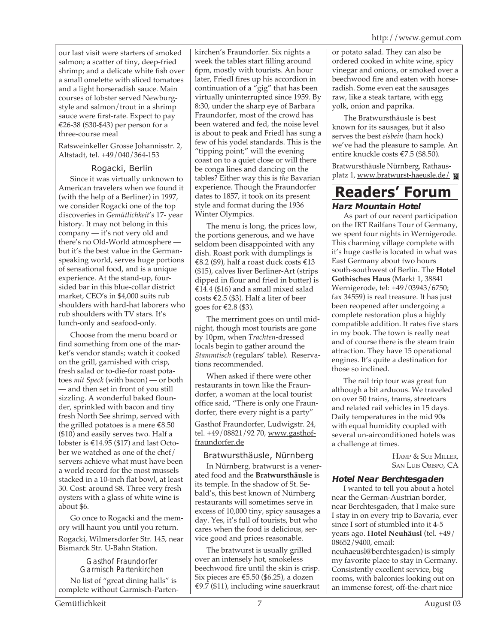our last visit were starters of smoked salmon; a scatter of tiny, deep-fried shrimp; and a delicate white fish over a small omelette with sliced tomatoes and a light horseradish sauce. Main courses of lobster served Newburgstyle and salmon/trout in a shrimp sauce were first-rate. Expect to pay €26-38 (\$30-\$43) per person for a three-course meal

Ratsweinkeller Grosse Johannisstr. 2, Altstadt, tel. +49/040/364-153

## Rogacki, Berlin

Since it was virtually unknown to American travelers when we found it (with the help of a Berliner) in 1997, we consider Rogacki one of the top discoveries in *Gemütlichkeit*'*s* 17- year history. It may not belong in this company — it's not very old and there's no Old-World atmosphere but it's the best value in the Germanspeaking world, serves huge portions of sensational food, and is a unique experience. At the stand-up, foursided bar in this blue-collar district market, CEO's in \$4,000 suits rub shoulders with hard-hat laborers who rub shoulders with TV stars. It's lunch-only and seafood-only.

Choose from the menu board or find something from one of the market's vendor stands; watch it cooked on the grill, garnished with crisp, fresh salad or to-die-for roast potatoes *mit Speck* (with bacon) — or both — and then set in front of you still sizzling. A wonderful baked flounder, sprinkled with bacon and tiny fresh North See shrimp, served with the grilled potatoes is a mere  $\text{\textsterling}8.50$ (\$10) and easily serves two. Half a lobster is €14.95 (\$17) and last October we watched as one of the chef/ servers achieve what must have been a world record for the most mussels stacked in a 10-inch flat bowl, at least 30. Cost: around \$8. Three very fresh oysters with a glass of white wine is about \$6.

Go once to Rogacki and the memory will haunt you until you return.

Rogacki, Wilmersdorfer Str. 145, near Bismarck Str. U-Bahn Station.

> Gasthof Fraundorfer Garmisch Partenkirchen

No list of "great dining halls" is complete without Garmisch-Parten-

kirchen's Fraundorfer. Six nights a week the tables start filling around 6pm, mostly with tourists. An hour later, Friedl fires up his accordion in continuation of a "gig" that has been virtually uninterrupted since 1959. By 8:30, under the sharp eye of Barbara Fraundorfer, most of the crowd has been watered and fed, the noise level is about to peak and Friedl has sung a few of his yodel standards. This is the "tipping point;" will the evening coast on to a quiet close or will there be conga lines and dancing on the tables? Either way this is *the* Bavarian experience. Though the Fraundorfer dates to 1857, it took on its present style and format during the 1936 Winter Olympics.

The menu is long, the prices low, the portions generous, and we have seldom been disappointed with any dish. Roast pork with dumplings is €8.2 (\$9), half a roast duck costs €13 (\$15), calves liver Berliner-Art (strips dipped in flour and fried in butter) is €14.4 (\$16) and a small mixed salad costs €2.5 (\$3). Half a liter of beer goes for €2.8 (\$3).

The merriment goes on until midnight, though most tourists are gone by 10pm, when *Trachten*-dressed locals begin to gather around the *Stammtisch* (regulars' table). Reservations recommended.

When asked if there were other restaurants in town like the Fraundorfer, a woman at the local tourist office said, "There is only one Fraundorfer, there every night is a party"

Gasthof Fraundorfer, Ludwigstr. 24, tel. +49/08821/92 70, www.gasthoffraundorfer.de

Bratwursthäusle, Nürnberg In Nürnberg, bratwurst is a venerated food and the **Bratwursthäusle** is its temple. In the shadow of St. Sebald's, this best known of Nürnberg restaurants will sometimes serve in excess of 10,000 tiny, spicy sausages a day. Yes, it's full of tourists, but who cares when the food is delicious, service good and prices reasonable.

The bratwurst is usually grilled over an intensely hot, smokeless beechwood fire until the skin is crisp. Six pieces are  $\text{\textsterling}5.50$  (\$6.25), a dozen €9.7 (\$11), including wine sauerkraut

or potato salad. They can also be ordered cooked in white wine, spicy vinegar and onions, or smoked over a beechwood fire and eaten with horseradish. Some even eat the sausages raw, like a steak tartare, with egg yolk, onion and paprika.

The Bratwursthäusle is best known for its sausages, but it also serves the best *eisbein* (ham hock) we've had the pleasure to sample. An entire knuckle costs €7.5 (\$8.50).

Bratwursthäusle Nürnberg, Rathausplatz 1, www.bratwurst-haeusle.de/

# **Harz Mountain Hotel Readers' Forum**

As part of our recent participation on the IRT Railfans Tour of Germany, we spent four nights in Wernigerode. This charming village complete with it's huge castle is located in what was East Germany about two hours south-southwest of Berlin. The **Hotel Gothisches Haus** (Markt 1, 38841 Wernigerode, tel: +49/03943/6750; fax 34559) is real treasure. It has just been reopened after undergoing a complete restoration plus a highly compatible addition. It rates five stars in my book. The town is really neat and of course there is the steam train attraction. They have 15 operational engines. It's quite a destination for those so inclined.

The rail trip tour was great fun although a bit arduous. We traveled on over 50 trains, trams, streetcars and related rail vehicles in 15 days. Daily temperatures in the mid 90s with equal humidity coupled with several un-airconditioned hotels was a challenge at times.

> HAMP & SUE MILLER, SAN LUIS OBISPO, CA

#### **Hotel Near Berchtesgaden**

I wanted to tell you about a hotel near the German-Austrian border, near Berchtesgaden, that I make sure I stay in on every trip to Bavaria, ever since I sort of stumbled into it 4-5 years ago. **Hotel Neuhäusl** (tel. +49/ 08652/9400, email:

neuhaeusl@berchtesgaden) is simply my favorite place to stay in Germany. Consistently excellent service, big rooms, with balconies looking out on an immense forest, off-the-chart nice